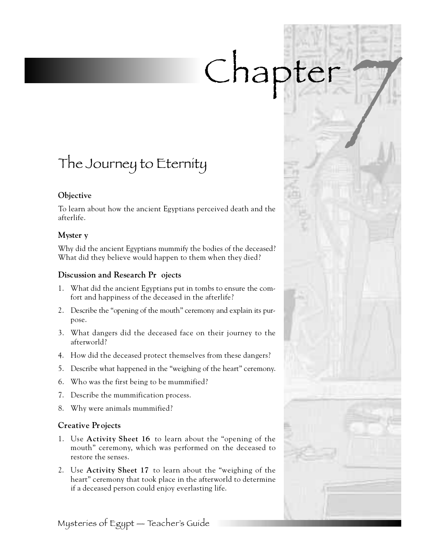# Chapter

# The Journey to Eternity

#### **Objective**

To learn about how the ancient Egyptians perceived death and the afterlife.

#### **Myster y**

Why did the ancient Egyptians mummify the bodies of the deceased? What did they believe would happen to them when they died?

#### **Discussion and Research Pr** ojects

- 1 . What did the ancient Egyptians put in tombs to ensure the comfort and happiness of the deceased in the afterlife?
- 2 . Describe the "opening of the mouth" ceremony and explain its purpose.
- 3. What dangers did the deceased face on their journey to the afterworld?
- 4 . How did the deceased protect themselves from these dangers?
- 5. Describe what happened in the "weighing of the heart" ceremony.
- 6 . Who was the first being to be mummified?
- 7. Describe the mummification process.
- 8. Why were animals mummified?

### **Creative Projects**

- 1. Use **Activity Sheet 16** to learn about the "opening of the mouth" ceremony, which was performed on the deceased to restore the senses.
- 2. Use **Activity Sheet 17** to learn about the "weighing of the heart" ceremony that took place in the afterworld to determine if a deceased person could enjoy everlasting life.

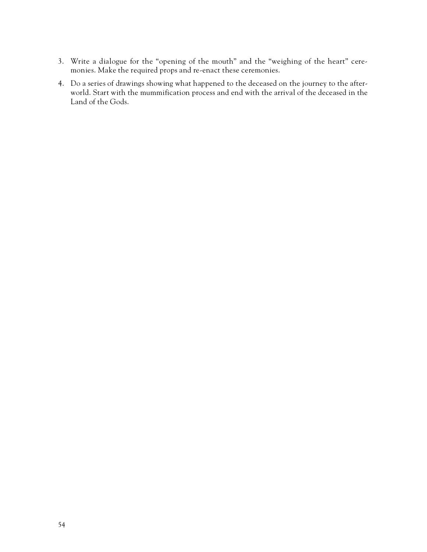- 3 . Write a dialogue for the "opening of the mouth" and the "weighing of the heart" ceremonies. Make the required props and re-enact these ceremonies.
- 4 . Do a series of drawings showing what happened to the deceased on the journey to the afterworld. Start with the mummification process and end with the arrival of the deceased in the Land of the Gods.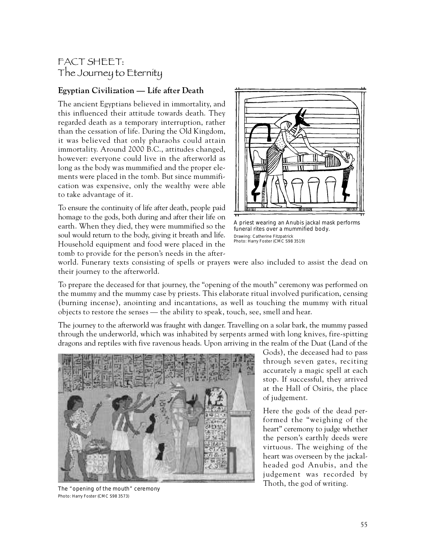## FACT SHEET: The Journey to Eternity

#### **Egyptian Civilization — Life after Death**

The ancient Egyptians believed in immortality, and this influenced their attitude towards death. They regarded death as a temporary interruption, rather than the cessation of life. During the Old Kingdom, it was believed that only pharaohs could attain immortality. Around 2000 B.C., attitudes changed, however: everyone could live in the afterworld as long as the body was mummified and the proper elements were placed in the tomb. But since mummification was expensive, only the wealthy were able to take advantage of it.

To ensure the continuity of life after death, people paid homage to the gods, both during and after their life on earth. When they died, they were mummified so the soul would return to the body, giving it breath and life. Household equipment and food were placed in the tomb to provide for the person's needs in the after-



A priest wearing an Anubis jackal mask performs funeral rites over a mummified body. Drawing: Catherine Fitzpatrick Photo: Harry Foster (CMC S98 3519)

world. Funerary texts consisting of spells or prayers were also included to assist the dead on their journey to the afterworld.

To prepare the deceased for that journey, the "opening of the mouth" ceremony was performed on the mummy and the mummy case by priests. This elaborate ritual involved purification, censing (burning incense), anointing and incantations, as well as touching the mummy with ritual objects to restore the senses — the ability to speak, touch, see, smell and hear.

The journey to the afterworld was fraught with danger. Travelling on a solar bark, the mummy passed through the underworld, which was inhabited by serpents armed with long knives, fire-spitting dragons and reptiles with five ravenous heads. Upon arriving in the realm of the Duat (Land of the



The "opening of the mouth" ceremony Photo: Harry Foster (CMC S98 3573)

Gods), the deceased had to pass through seven gates, reciting accurately a magic spell at each stop. If successful, they arrived at the Hall of Osiris, the place of judgement.

Here the gods of the dead performed the "weighing of the heart" ceremony to judge whether the person's earthly deeds were virtuous. The weighing of the heart was overseen by the jackalheaded god Anubis, and the judgement was recorded by Thoth, the god of writing.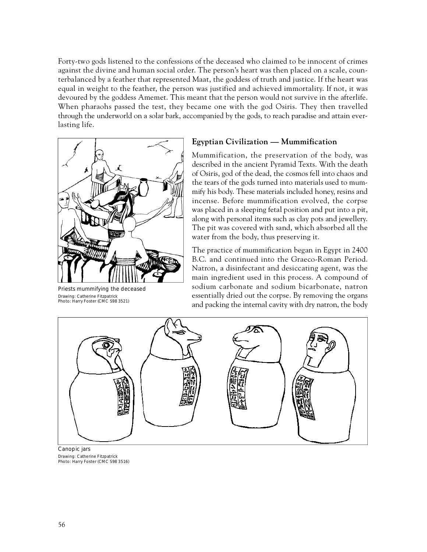Forty-two gods listened to the confessions of the deceased who claimed to be innocent of crimes against the divine and human social order. The person's heart was then placed on a scale, counterbalanced by a feather that represented Maat, the goddess of truth and justice. If the heart was equal in weight to the feather, the person was justified and achieved immortality. If not, it was devoured by the goddess Amemet. This meant that the person would not survive in the afterlife. When pharaohs passed the test, they became one with the god Osiris. They then travelled through the underworld on a solar bark, accompanied by the gods, to reach paradise and attain everlasting life.



Priests mummifying the deceased Drawing: Catherine Fitzpatrick Photo: Harry Foster (CMC S98 3521)

#### **Egyptian Civilization — Mummification**

Mummification, the preservation of the body, was described in the ancient Pyramid Texts. With the death of Osiris, god of the dead, the cosmos fell into chaos and the tears of the gods turned into materials used to mummify his body. These materials included honey, resins and incense. Before mummification evolved, the corpse was placed in a sleeping fetal position and put into a pit, along with personal items such as clay pots and jewellery. The pit was covered with sand, which absorbed all the water from the body, thus preserving it.

The practice of mummification began in Egypt in 2400 B.C. and continued into the Graeco-Roman Period. Natron, a disinfectant and desiccating agent, was the main ingredient used in this process. A compound of sodium carbonate and sodium bicarbonate, natron essentially dried out the corpse. By removing the organs and packing the internal cavity with dry natron, the body



Canopic jars Drawing: Catherine Fitzpatrick Photo: Harry Foster (CMC S98 3516)